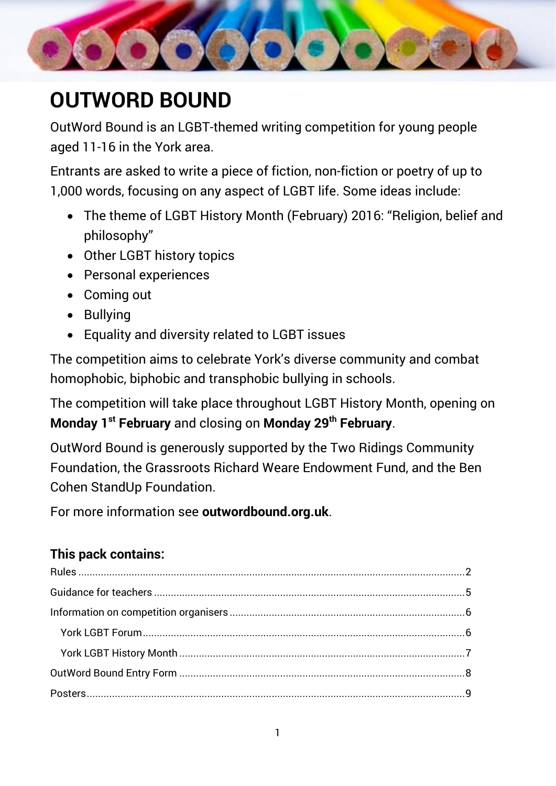

# <span id="page-0-5"></span><span id="page-0-4"></span><span id="page-0-2"></span><span id="page-0-1"></span>**OUTWORD BOUND**

OutWord Bound is an LGBT-themed writing competition for young people aged 11-16 in the York area.

Entrants are asked to write a piece of fiction, non-fiction or poetry of up to 1,000 words, focusing on any aspect of LGBT life. Some ideas include:

- The theme of LGBT History Month (February) 2016: "Religion, belief and philosophy"
- Other LGBT history topics
- Personal experiences
- Coming out
- Bullying
- Equality and diversity related to LGBT issues

The competition aims to celebrate York's diverse community and combat homophobic, biphobic and transphobic bullying in schools.

The competition will take place throughout LGBT History Month, opening on **Monday 1st February** and closing on **Monday 29th February**.

OutWord Bound is generously supported by the Two Ridings Community Foundation, the Grassroots Richard Weare Endowment Fund, and the Ben Cohen StandUp Foundation.

For more information see **outwordbound.org.uk**.

## **This pack contains:**

<span id="page-0-3"></span><span id="page-0-0"></span>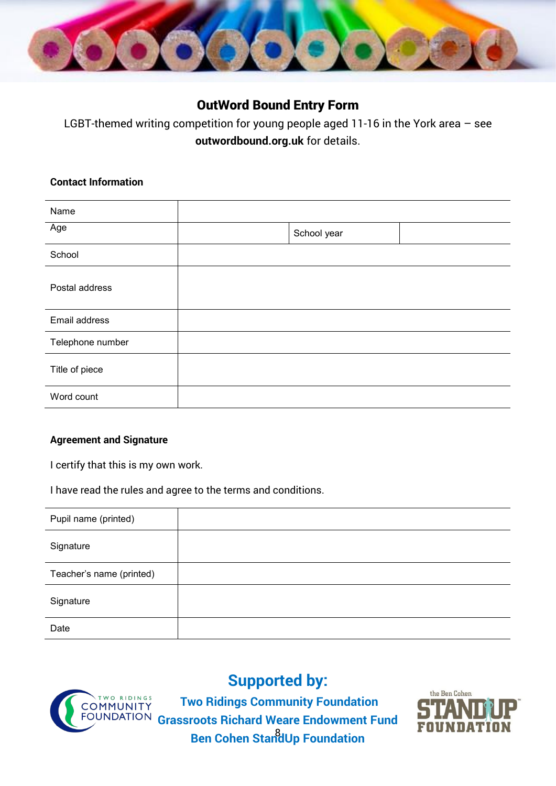

## OutWord Bound Entry Form

LGBT-themed writing competition for young people aged 11-16 in the York area – see **outwordbound.org.uk** for details.

#### **Contact Information**

| Name             |             |  |
|------------------|-------------|--|
| Age              | School year |  |
| School           |             |  |
| Postal address   |             |  |
| Email address    |             |  |
| Telephone number |             |  |
| Title of piece   |             |  |
| Word count       |             |  |

#### **Agreement and Signature**

I certify that this is my own work.

I have read the rules and agree to the terms and conditions.

| Pupil name (printed)     |  |
|--------------------------|--|
| Signature                |  |
| Teacher's name (printed) |  |
| Signature                |  |
| Date                     |  |



**Supported by:**

8 **Ben Cohen StandUp FoundationTwo Ridings Community Foundation Grassroots Richard Weare Endowment Fund**

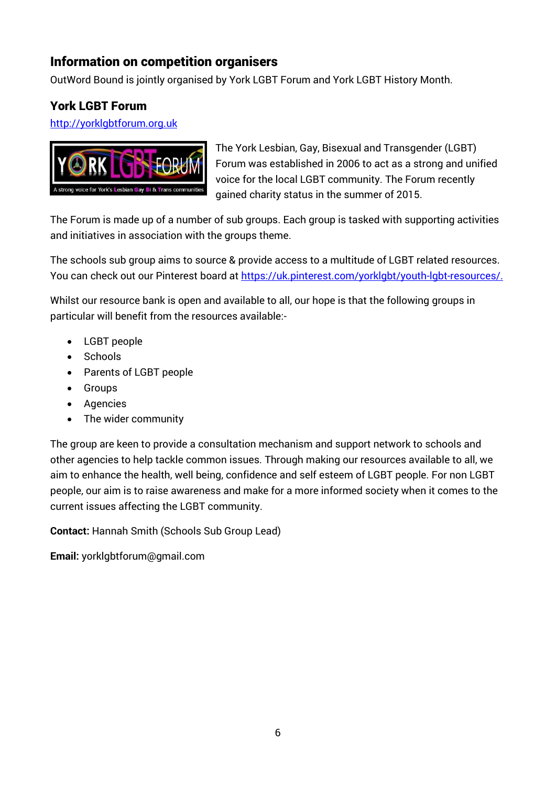## Information on competition organisers

OutWord Bound is jointly organised by York LGBT Forum and York LGBT History Month.

## York LGBT Forum

[http://yorklgbtforum.org.uk](http://yorklgbtforum.org.uk/)



The [York Lesbian, Gay, Bisexual and Transgender \(LGBT\)](http://yorklgbtforum.org.uk/)  [Forum](http://yorklgbtforum.org.uk/) was established in 2006 to act as a strong and unified voice for the local LGBT community. The Forum recently gained charity status in the summer of 2015.

The Forum is made up of a number of sub groups. Each group is tasked with supporting activities and initiatives in association with the groups theme.

The schools sub group aims to source & provide access to a multitude of LGBT related resources. You can check out our Pinterest board at [https://uk.pinterest.com/yorklgbt/youth-lgbt-resources/.](https://uk.pinterest.com/yorklgbt/youth-lgbt-resources/)

Whilst our resource bank is open and available to all, our hope is that the following groups in particular will benefit from the resources available:-

- LGBT people
- Schools
- Parents of LGBT people
- Groups
- Agencies
- The wider community

The group are keen to provide a consultation mechanism and support network to schools and other agencies to help tackle common issues. Through making our resources available to all, we aim to enhance the health, well being, confidence and self esteem of LGBT people. For non LGBT people, our aim is to raise awareness and make for a more informed society when it comes to the current issues affecting the LGBT community.

**Contact:** Hannah Smith (Schools Sub Group Lead)

**Email:** yorklgbtforum@gmail.com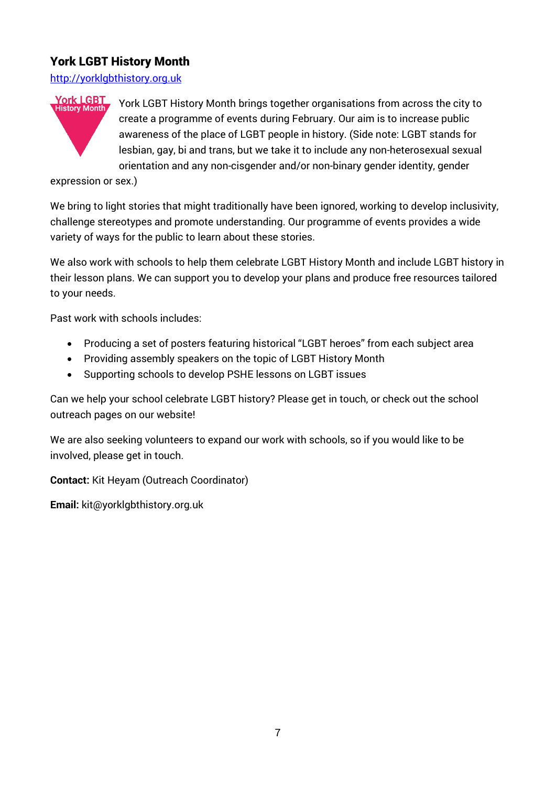## York LGBT History Month

http://yorklgbthistory.org.uk



York LGBT History Month brings together organisations from across the city to create a programme of events during February. Our aim is to increase public awareness of the place of LGBT people in history. (Side note: LGBT stands for lesbian, gay, bi and trans, but we take it to include any non-heterosexual sexual orientation and any non-cisgender and/or non-binary gender identity, gender

expression or sex.)

We bring to light stories that might traditionally have been ignored, working to develop inclusivity, challenge stereotypes and promote understanding. Our programme of events provides a wide variety of ways for the public to learn about these stories.

We also work with schools to help them celebrate LGBT History Month and include LGBT history in their lesson plans. We can support you to develop your plans and produce free resources tailored to your needs.

Past work with schools includes:

- Producing a set of posters featuring historical "LGBT heroes" from each subject area
- Providing assembly speakers on the topic of LGBT History Month
- Supporting schools to develop PSHE lessons on LGBT issues

Can we help your school celebrate LGBT history? Please get in touch, or check out the school outreach pages on our website!

We are also seeking volunteers to expand our work with schools, so if you would like to be involved, please get in touch.

**Contact:** Kit Heyam (Outreach Coordinator)

**Email:** kit@yorklgbthistory.org.uk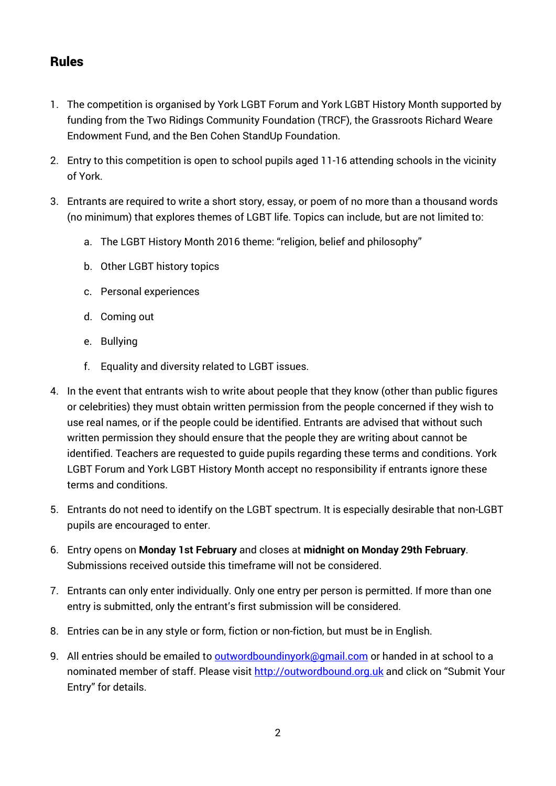## Rules

- 1. The competition is organised by York LGBT Forum and York LGBT History Month supported by funding from the Two Ridings Community Foundation (TRCF), the Grassroots Richard Weare Endowment Fund, and the Ben Cohen StandUp Foundation.
- 2. Entry to this competition is open to school pupils aged 11-16 attending schools in the vicinity of York.
- 3. Entrants are required to write a short story, essay, or poem of no more than a thousand words (no minimum) that explores themes of LGBT life. Topics can include, but are not limited to:
	- a. The LGBT History Month 2016 theme: "religion, belief and philosophy"
	- b. Other LGBT history topics
	- c. Personal experiences
	- d. Coming out
	- e. Bullying
	- f. Equality and diversity related to LGBT issues.
- 4. In the event that entrants wish to write about people that they know (other than public figures or celebrities) they must obtain written permission from the people concerned if they wish to use real names, or if the people could be identified. Entrants are advised that without such written permission they should ensure that the people they are writing about cannot be identified. Teachers are requested to guide pupils regarding these terms and conditions. York LGBT Forum and York LGBT History Month accept no responsibility if entrants ignore these terms and conditions.
- 5. Entrants do not need to identify on the LGBT spectrum. It is especially desirable that non-LGBT pupils are encouraged to enter.
- 6. Entry opens on **Monday 1st February** and closes at **midnight on Monday 29th February**. Submissions received outside this timeframe will not be considered.
- 7. Entrants can only enter individually. Only one entry per person is permitted. If more than one entry is submitted, only the entrant's first submission will be considered.
- 8. Entries can be in any style or form, fiction or non-fiction, but must be in English.
- 9. All entries should be emailed to **outwordboundinyork@gmail.com** or handed in at school to a nominated member of staff. Please visit [http://outwordbound.org.uk](http://outwordbound.org.uk/) and click on "Submit Your Entry" for details.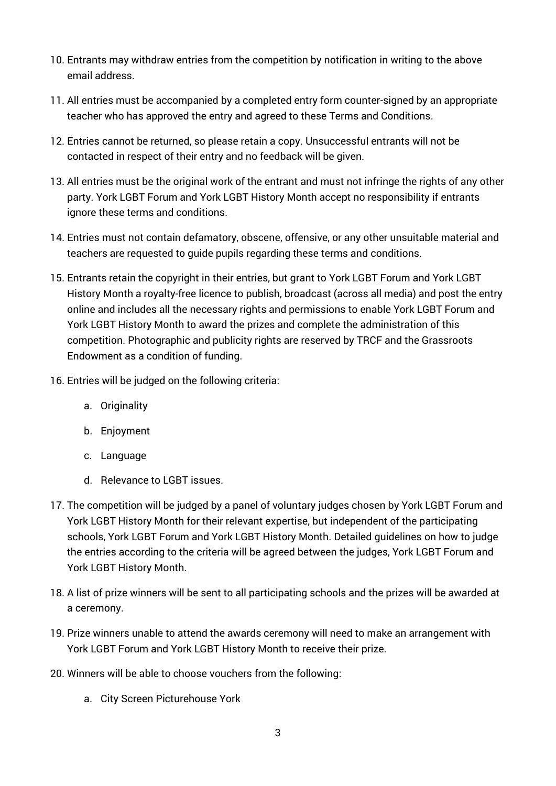- 10. Entrants may withdraw entries from the competition by notification in writing to the above email address.
- 11. All entries must be accompanied by a completed entry form counter-signed by an appropriate teacher who has approved the entry and agreed to these Terms and Conditions.
- 12. Entries cannot be returned, so please retain a copy. Unsuccessful entrants will not be contacted in respect of their entry and no feedback will be given.
- 13. All entries must be the original work of the entrant and must not infringe the rights of any other party. York LGBT Forum and York LGBT History Month accept no responsibility if entrants ignore these terms and conditions.
- 14. Entries must not contain defamatory, obscene, offensive, or any other unsuitable material and teachers are requested to guide pupils regarding these terms and conditions.
- 15. Entrants retain the copyright in their entries, but grant to York LGBT Forum and York LGBT History Month a royalty-free licence to publish, broadcast (across all media) and post the entry online and includes all the necessary rights and permissions to enable York LGBT Forum and York LGBT History Month to award the prizes and complete the administration of this competition. Photographic and publicity rights are reserved by TRCF and the Grassroots Endowment as a condition of funding.
- 16. Entries will be judged on the following criteria:
	- a. Originality
	- b. Enjoyment
	- c. Language
	- d. Relevance to LGBT issues.
- 17. The competition will be judged by a panel of voluntary judges chosen by York LGBT Forum and York LGBT History Month for their relevant expertise, but independent of the participating schools, York LGBT Forum and York LGBT History Month. Detailed guidelines on how to judge the entries according to the criteria will be agreed between the judges, York LGBT Forum and York LGBT History Month.
- 18. A list of prize winners will be sent to all participating schools and the prizes will be awarded at a ceremony.
- 19. Prize winners unable to attend the awards ceremony will need to make an arrangement with York LGBT Forum and York LGBT History Month to receive their prize.
- 20. Winners will be able to choose vouchers from the following:
	- a. City Screen Picturehouse York